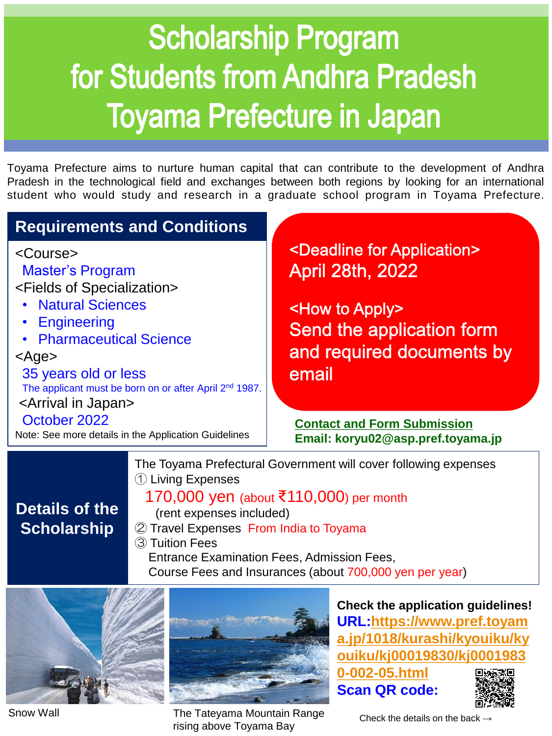# **Scholarship Program** for Students from Andhra Pradesh **Toyama Prefecture in Japan**

Toyama Prefecture aims to nurture human capital that can contribute to the development of Andhra Pradesh in the technological field and exchanges between both regions by looking for an international student who would study and research in a graduate school program in Toyama Prefecture.

#### **Requirements and Conditions** <Deadline for Application> <Course> April 28th, 2022 Master's Program <Fields of Specialization> • Natural Sciences <How to Apply> • Engineering Send the application form • Pharmaceutical Science and required documents by <Age> email 35 years old or less The applicant must be born on or after April 2<sup>nd</sup> 1987. <Arrival in Japan> October 2022 **Contact and Form Submission** Note: See more details in the Application Guidelines **Email: koryu02@asp.pref.toyama.jp**

#### **Details of the Scholarship**

The Toyama Prefectural Government will cover following expenses ① Living Expenses

170,000 yen (about ₹110,000) per month (rent expenses included) ② Travel Expenses From India to Toyama

③ Tuition Fees Entrance Examination Fees, Admission Fees, Course Fees and Insurances (about 700,000 yen per year)



Snow Wall



### **Check the application guidelines! URL:https://www.pref.toyam [a.jp/1018/kurashi/kyouiku/ky](https://www.pref.toyama.jp/1018/kurashi/kyouiku/kyouiku/kj00019830/kj00019830-002-05.html) ouiku/kj00019830/kj0001983**

**0-002-05.html Scan QR code:**



Check the details on the back →